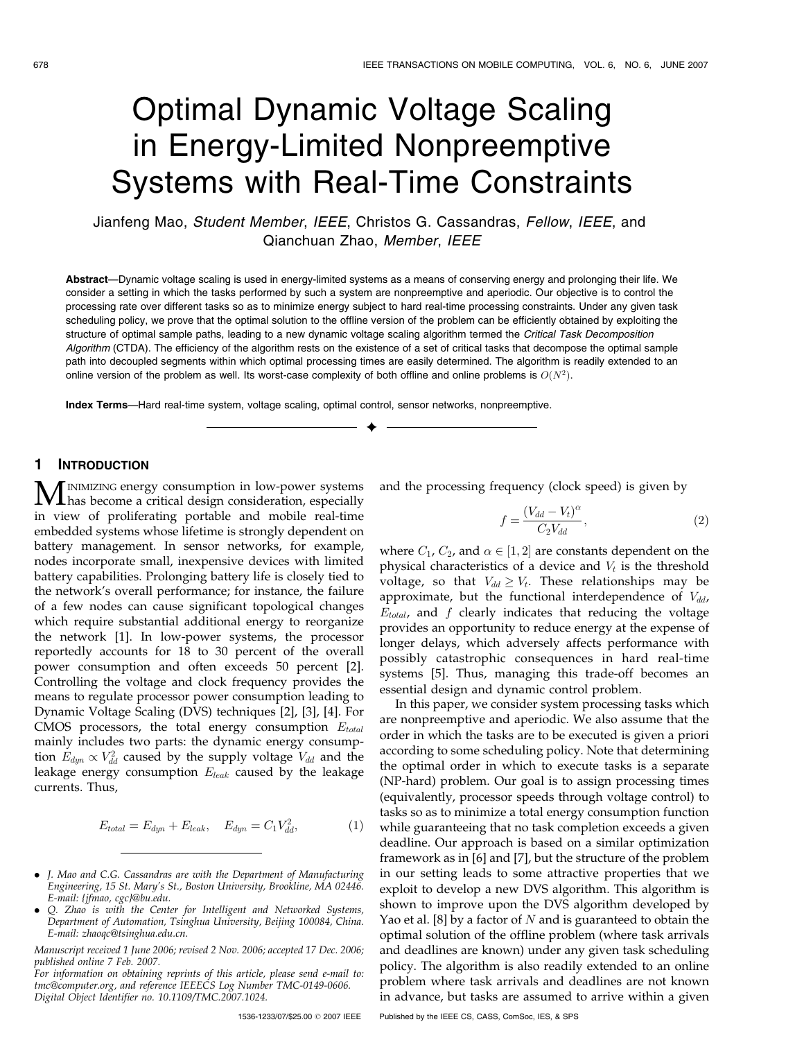# Optimal Dynamic Voltage Scaling in Energy-Limited Nonpreemptive Systems with Real-Time Constraints

Jianfeng Mao, Student Member, IEEE, Christos G. Cassandras, Fellow, IEEE, and Qianchuan Zhao, Member, IEEE

Abstract—Dynamic voltage scaling is used in energy-limited systems as a means of conserving energy and prolonging their life. We consider a setting in which the tasks performed by such a system are nonpreemptive and aperiodic. Our objective is to control the processing rate over different tasks so as to minimize energy subject to hard real-time processing constraints. Under any given task scheduling policy, we prove that the optimal solution to the offline version of the problem can be efficiently obtained by exploiting the structure of optimal sample paths, leading to a new dynamic voltage scaling algorithm termed the Critical Task Decomposition Algorithm (CTDA). The efficiency of the algorithm rests on the existence of a set of critical tasks that decompose the optimal sample path into decoupled segments within which optimal processing times are easily determined. The algorithm is readily extended to an online version of the problem as well. Its worst-case complexity of both offline and online problems is  $O(N^2)$ .

 $\ddotmark$ 

Index Terms—Hard real-time system, voltage scaling, optimal control, sensor networks, nonpreemptive.

# 1 INTRODUCTION

**MINIMIZING energy consumption in low-power systems**<br>has become a critical design consideration, especially in view of proliferating portable and mobile real-time embedded systems whose lifetime is strongly dependent on battery management. In sensor networks, for example, nodes incorporate small, inexpensive devices with limited battery capabilities. Prolonging battery life is closely tied to the network's overall performance; for instance, the failure of a few nodes can cause significant topological changes which require substantial additional energy to reorganize the network [1]. In low-power systems, the processor reportedly accounts for 18 to 30 percent of the overall power consumption and often exceeds 50 percent [2]. Controlling the voltage and clock frequency provides the means to regulate processor power consumption leading to Dynamic Voltage Scaling (DVS) techniques [2], [3], [4]. For CMOS processors, the total energy consumption  $E_{total}$ mainly includes two parts: the dynamic energy consumption  $E_{dyn} \propto V_{dd}^2$  caused by the supply voltage  $V_{dd}$  and the leakage energy consumption  $E_{leak}$  caused by the leakage currents. Thus,

$$
E_{total} = E_{dyn} + E_{leak}, \quad E_{dyn} = C_1 V_{dd}^2,\tag{1}
$$

- . J. Mao and C.G. Cassandras are with the Department of Manufacturing Engineering, 15 St. Mary's St., Boston University, Brookline, MA 02446. E-mail: {jfmao, cgc}@bu.edu.
- . Q. Zhao is with the Center for Intelligent and Networked Systems, Department of Automation, Tsinghua University, Beijing 100084, China. E-mail: zhaoqc@tsinghua.edu.cn.

and the processing frequency (clock speed) is given by

$$
f = \frac{(V_{dd} - V_t)^{\alpha}}{C_2 V_{dd}},\tag{2}
$$

where  $C_1$ ,  $C_2$ , and  $\alpha \in [1,2]$  are constants dependent on the physical characteristics of a device and  $V_t$  is the threshold voltage, so that  $V_{dd} \geq V_t$ . These relationships may be approximate, but the functional interdependence of  $V_{dd}$ ,  $E_{total}$ , and f clearly indicates that reducing the voltage provides an opportunity to reduce energy at the expense of longer delays, which adversely affects performance with possibly catastrophic consequences in hard real-time systems [5]. Thus, managing this trade-off becomes an essential design and dynamic control problem.

In this paper, we consider system processing tasks which are nonpreemptive and aperiodic. We also assume that the order in which the tasks are to be executed is given a priori according to some scheduling policy. Note that determining the optimal order in which to execute tasks is a separate (NP-hard) problem. Our goal is to assign processing times (equivalently, processor speeds through voltage control) to tasks so as to minimize a total energy consumption function while guaranteeing that no task completion exceeds a given deadline. Our approach is based on a similar optimization framework as in [6] and [7], but the structure of the problem in our setting leads to some attractive properties that we exploit to develop a new DVS algorithm. This algorithm is shown to improve upon the DVS algorithm developed by Yao et al. [8] by a factor of  $N$  and is guaranteed to obtain the optimal solution of the offline problem (where task arrivals and deadlines are known) under any given task scheduling policy. The algorithm is also readily extended to an online problem where task arrivals and deadlines are not known in advance, but tasks are assumed to arrive within a given

Manuscript received 1 June 2006; revised 2 Nov. 2006; accepted 17 Dec. 2006; published online 7 Feb. 2007.

For information on obtaining reprints of this article, please send e-mail to: tmc@computer.org, and reference IEEECS Log Number TMC-0149-0606. Digital Object Identifier no. 10.1109/TMC.2007.1024.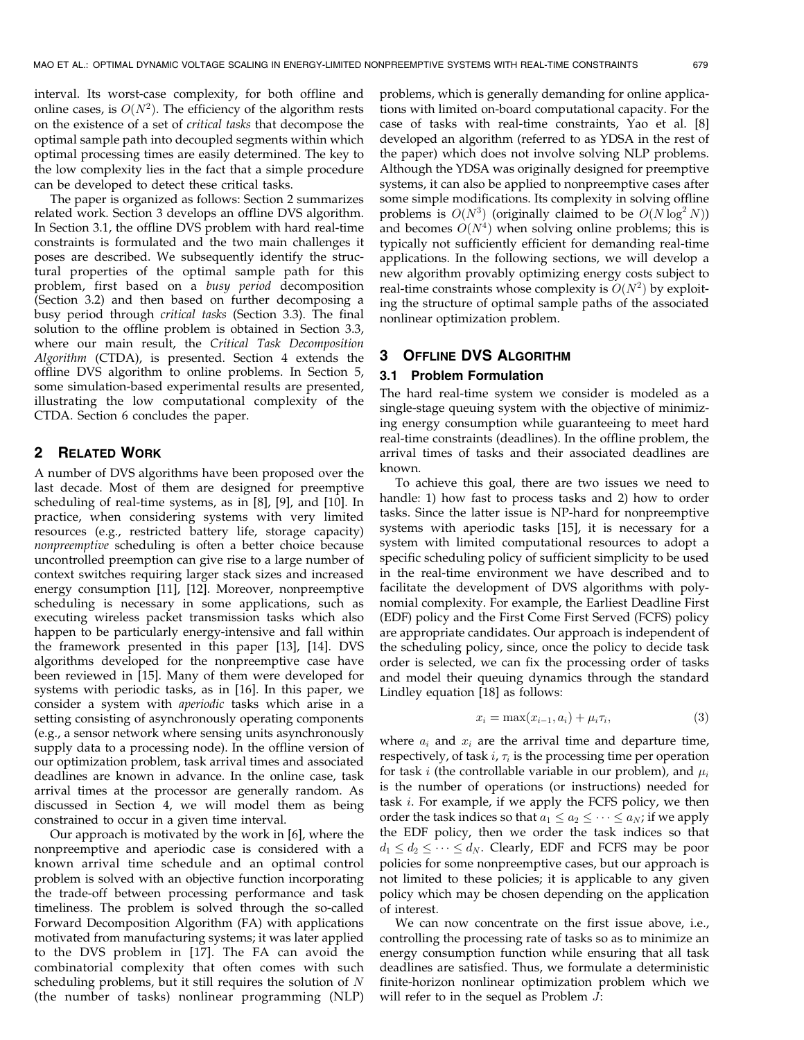interval. Its worst-case complexity, for both offline and online cases, is  $O(N^2)$ . The efficiency of the algorithm rests on the existence of a set of critical tasks that decompose the optimal sample path into decoupled segments within which optimal processing times are easily determined. The key to the low complexity lies in the fact that a simple procedure can be developed to detect these critical tasks.

The paper is organized as follows: Section 2 summarizes related work. Section 3 develops an offline DVS algorithm. In Section 3.1, the offline DVS problem with hard real-time constraints is formulated and the two main challenges it poses are described. We subsequently identify the structural properties of the optimal sample path for this problem, first based on a busy period decomposition (Section 3.2) and then based on further decomposing a busy period through critical tasks (Section 3.3). The final solution to the offline problem is obtained in Section 3.3, where our main result, the Critical Task Decomposition Algorithm (CTDA), is presented. Section 4 extends the offline DVS algorithm to online problems. In Section 5, some simulation-based experimental results are presented, illustrating the low computational complexity of the CTDA. Section 6 concludes the paper.

# 2 RELATED WORK

A number of DVS algorithms have been proposed over the last decade. Most of them are designed for preemptive scheduling of real-time systems, as in [8], [9], and [10]. In practice, when considering systems with very limited resources (e.g., restricted battery life, storage capacity) nonpreemptive scheduling is often a better choice because uncontrolled preemption can give rise to a large number of context switches requiring larger stack sizes and increased energy consumption [11], [12]. Moreover, nonpreemptive scheduling is necessary in some applications, such as executing wireless packet transmission tasks which also happen to be particularly energy-intensive and fall within the framework presented in this paper [13], [14]. DVS algorithms developed for the nonpreemptive case have been reviewed in [15]. Many of them were developed for systems with periodic tasks, as in [16]. In this paper, we consider a system with aperiodic tasks which arise in a setting consisting of asynchronously operating components (e.g., a sensor network where sensing units asynchronously supply data to a processing node). In the offline version of our optimization problem, task arrival times and associated deadlines are known in advance. In the online case, task arrival times at the processor are generally random. As discussed in Section 4, we will model them as being constrained to occur in a given time interval.

Our approach is motivated by the work in [6], where the nonpreemptive and aperiodic case is considered with a known arrival time schedule and an optimal control problem is solved with an objective function incorporating the trade-off between processing performance and task timeliness. The problem is solved through the so-called Forward Decomposition Algorithm (FA) with applications motivated from manufacturing systems; it was later applied to the DVS problem in [17]. The FA can avoid the combinatorial complexity that often comes with such scheduling problems, but it still requires the solution of  $N$ (the number of tasks) nonlinear programming (NLP)

problems, which is generally demanding for online applications with limited on-board computational capacity. For the case of tasks with real-time constraints, Yao et al. [8] developed an algorithm (referred to as YDSA in the rest of the paper) which does not involve solving NLP problems. Although the YDSA was originally designed for preemptive systems, it can also be applied to nonpreemptive cases after some simple modifications. Its complexity in solving offline problems is  $O(N^3)$  (originally claimed to be  $O(N \log^2 N)$ ) and becomes  $O(N<sup>4</sup>)$  when solving online problems; this is typically not sufficiently efficient for demanding real-time applications. In the following sections, we will develop a new algorithm provably optimizing energy costs subject to real-time constraints whose complexity is  $O(N^2)$  by exploiting the structure of optimal sample paths of the associated nonlinear optimization problem.

# 3 OFFLINE DVS ALGORITHM

#### 3.1 Problem Formulation

The hard real-time system we consider is modeled as a single-stage queuing system with the objective of minimizing energy consumption while guaranteeing to meet hard real-time constraints (deadlines). In the offline problem, the arrival times of tasks and their associated deadlines are known.

To achieve this goal, there are two issues we need to handle: 1) how fast to process tasks and 2) how to order tasks. Since the latter issue is NP-hard for nonpreemptive systems with aperiodic tasks [15], it is necessary for a system with limited computational resources to adopt a specific scheduling policy of sufficient simplicity to be used in the real-time environment we have described and to facilitate the development of DVS algorithms with polynomial complexity. For example, the Earliest Deadline First (EDF) policy and the First Come First Served (FCFS) policy are appropriate candidates. Our approach is independent of the scheduling policy, since, once the policy to decide task order is selected, we can fix the processing order of tasks and model their queuing dynamics through the standard Lindley equation [18] as follows:

$$
x_i = \max(x_{i-1}, a_i) + \mu_i \tau_i, \tag{3}
$$

where  $a_i$  and  $x_i$  are the arrival time and departure time, respectively, of task  $i$ ,  $\tau_i$  is the processing time per operation for task *i* (the controllable variable in our problem), and  $\mu_i$ is the number of operations (or instructions) needed for task  $i$ . For example, if we apply the FCFS policy, we then order the task indices so that  $a_1 \le a_2 \le \cdots \le a_N$ ; if we apply the EDF policy, then we order the task indices so that  $d_1 \leq d_2 \leq \cdots \leq d_N$ . Clearly, EDF and FCFS may be poor policies for some nonpreemptive cases, but our approach is not limited to these policies; it is applicable to any given policy which may be chosen depending on the application of interest.

We can now concentrate on the first issue above, i.e., controlling the processing rate of tasks so as to minimize an energy consumption function while ensuring that all task deadlines are satisfied. Thus, we formulate a deterministic finite-horizon nonlinear optimization problem which we will refer to in the sequel as Problem  $J$ :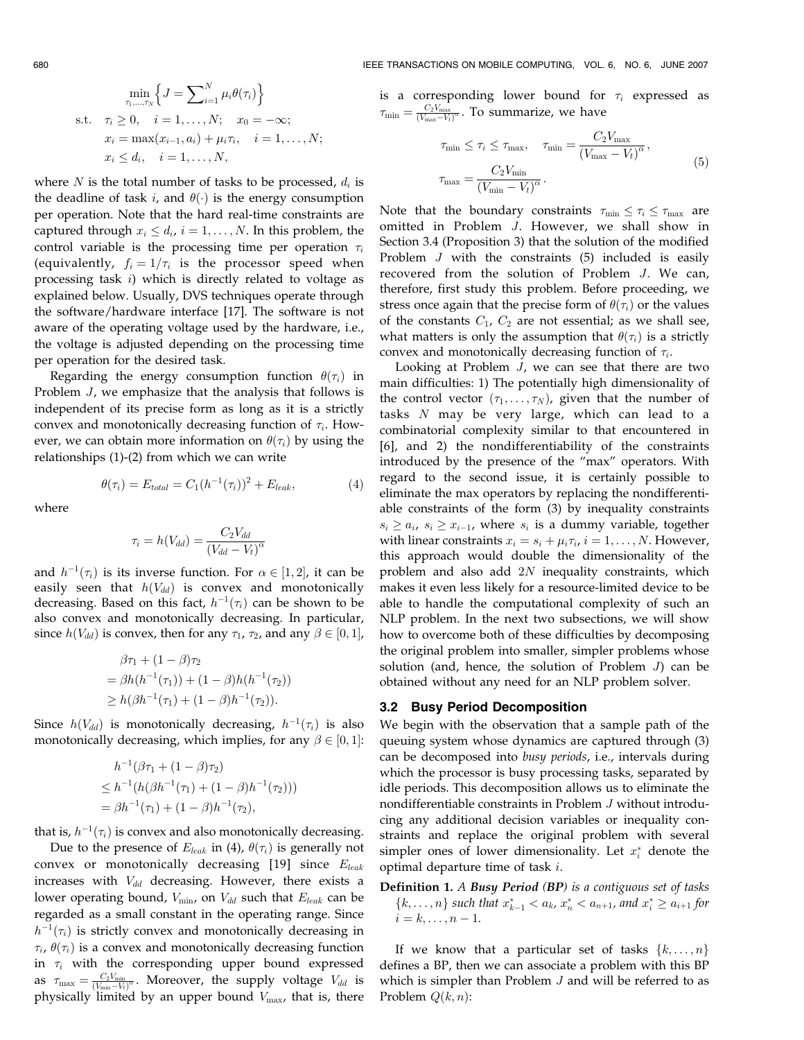$$
\min_{\tau_1, \dots, \tau_N} \left\{ J = \sum_{i=1}^N \mu_i \theta(\tau_i) \right\}
$$
  
s.t.  $\tau_i \ge 0$ ,  $i = 1, ..., N$ ;  $x_0 = -\infty$ ;  
 $x_i = \max(x_{i-1}, a_i) + \mu_i \tau_i$ ,  $i = 1, ..., N$ ;  
 $x_i \le d_i$ ,  $i = 1, ..., N$ ,

where N is the total number of tasks to be processed,  $d_i$  is the deadline of task i, and  $\theta(\cdot)$  is the energy consumption per operation. Note that the hard real-time constraints are captured through  $x_i \leq d_i$ ,  $i = 1, \ldots, N$ . In this problem, the control variable is the processing time per operation  $\tau_i$ (equivalently,  $f_i = 1/\tau_i$  is the processor speed when processing task  $i$ ) which is directly related to voltage as explained below. Usually, DVS techniques operate through the software/hardware interface [17]. The software is not aware of the operating voltage used by the hardware, i.e., the voltage is adjusted depending on the processing time per operation for the desired task.

Regarding the energy consumption function  $\theta(\tau_i)$  in Problem J, we emphasize that the analysis that follows is independent of its precise form as long as it is a strictly convex and monotonically decreasing function of  $\tau_i$ . However, we can obtain more information on  $\theta(\tau_i)$  by using the relationships (1)-(2) from which we can write

where

$$
\tau_i = h(V_{dd}) = \frac{C_2 V_{dd}}{(V_{dd} - V_t)^{\alpha}}
$$

 $\theta(\tau_i) = E_{total} = C_1(h^{-1}(\tau_i))^2 + E_{leak},$ (4)

and  $h^{-1}(\tau_i)$  is its inverse function. For  $\alpha \in [1,2]$ , it can be easily seen that  $h(V_{dd})$  is convex and monotonically decreasing. Based on this fact,  $h^{-1}(\tau_i)$  can be shown to be also convex and monotonically decreasing. In particular, since  $h(V_{dd})$  is convex, then for any  $\tau_1$ ,  $\tau_2$ , and any  $\beta \in [0,1]$ ,

$$
\beta\tau_1 + (1 - \beta)\tau_2
$$
  
=  $\beta h(h^{-1}(\tau_1)) + (1 - \beta)h(h^{-1}(\tau_2))$   
 $\geq h(\beta h^{-1}(\tau_1) + (1 - \beta)h^{-1}(\tau_2)).$ 

Since  $h(V_{dd})$  is monotonically decreasing,  $h^{-1}(\tau_i)$  is also monotonically decreasing, which implies, for any  $\beta \in [0,1]$ :

$$
h^{-1}(\beta \tau_1 + (1 - \beta)\tau_2)
$$
  
\n
$$
\leq h^{-1}(h(\beta h^{-1}(\tau_1) + (1 - \beta)h^{-1}(\tau_2)))
$$
  
\n
$$
= \beta h^{-1}(\tau_1) + (1 - \beta)h^{-1}(\tau_2),
$$

that is,  $h^{-1}(\tau_i)$  is convex and also monotonically decreasing.

Due to the presence of  $E_{leak}$  in (4),  $\theta(\tau_i)$  is generally not convex or monotonically decreasing  $[19]$  since  $E_{leak}$ increases with  $V_{dd}$  decreasing. However, there exists a lower operating bound,  $V_{\text{min}}$ , on  $V_{dd}$  such that  $E_{leak}$  can be regarded as a small constant in the operating range. Since  $h^{-1}(\tau_i)$  is strictly convex and monotonically decreasing in  $\tau_i$ ,  $\theta(\tau_i)$  is a convex and monotonically decreasing function in  $\tau_i$  with the corresponding upper bound expressed as  $\tau_{\text{max}} = \frac{C_2 V_{\text{min}}}{(V_{\text{min}} - V_t)^{\alpha}}$ . Moreover, the supply voltage  $V_{dd}$  is physically limited by an upper bound  $V_{\text{max}}$ , that is, there is a corresponding lower bound for  $\tau_i$  expressed as  $\tau_{\min} = \frac{C_2 V_{\max}}{(V_{\max}-V_t)^\alpha}$ . To summarize, we have

$$
\tau_{\min} \le \tau_i \le \tau_{\max}, \quad \tau_{\min} = \frac{C_2 V_{\max}}{(V_{\max} - V_t)^{\alpha}},
$$

$$
\tau_{\max} = \frac{C_2 V_{\min}}{(V_{\min} - V_t)^{\alpha}}.
$$
(5)

Note that the boundary constraints  $\tau_{\min} \leq \tau_i \leq \tau_{\max}$  are omitted in Problem J. However, we shall show in Section 3.4 (Proposition 3) that the solution of the modified Problem J with the constraints (5) included is easily recovered from the solution of Problem J. We can, therefore, first study this problem. Before proceeding, we stress once again that the precise form of  $\theta(\tau_i)$  or the values of the constants  $C_1$ ,  $C_2$  are not essential; as we shall see, what matters is only the assumption that  $\theta(\tau_i)$  is a strictly convex and monotonically decreasing function of  $\tau_i$ .

Looking at Problem J, we can see that there are two main difficulties: 1) The potentially high dimensionality of the control vector  $(\tau_1, \ldots, \tau_N)$ , given that the number of tasks N may be very large, which can lead to a combinatorial complexity similar to that encountered in [6], and 2) the nondifferentiability of the constraints introduced by the presence of the "max" operators. With regard to the second issue, it is certainly possible to eliminate the max operators by replacing the nondifferentiable constraints of the form (3) by inequality constraints  $s_i \ge a_i$ ,  $s_i \ge x_{i-1}$ , where  $s_i$  is a dummy variable, together with linear constraints  $x_i = s_i + \mu_i \tau_i$ ,  $i = 1, \ldots, N$ . However, this approach would double the dimensionality of the problem and also add 2N inequality constraints, which makes it even less likely for a resource-limited device to be able to handle the computational complexity of such an NLP problem. In the next two subsections, we will show how to overcome both of these difficulties by decomposing the original problem into smaller, simpler problems whose solution (and, hence, the solution of Problem J) can be obtained without any need for an NLP problem solver.

## 3.2 Busy Period Decomposition

We begin with the observation that a sample path of the queuing system whose dynamics are captured through (3) can be decomposed into busy periods, i.e., intervals during which the processor is busy processing tasks, separated by idle periods. This decomposition allows us to eliminate the nondifferentiable constraints in Problem J without introducing any additional decision variables or inequality constraints and replace the original problem with several simpler ones of lower dimensionality. Let  $x_i^*$  denote the optimal departure time of task i.

Definition 1. A Busy Period (BP) is a contiguous set of tasks  $\{k, \ldots, n\}$  such that  $x_{k-1}^* < a_k$ ,  $x_n^* < a_{n+1}$ , and  $x_i^* \ge a_{i+1}$  for  $i = k, \ldots, n - 1.$ 

If we know that a particular set of tasks  $\{k, \ldots, n\}$ defines a BP, then we can associate a problem with this BP which is simpler than Problem  $J$  and will be referred to as Problem  $Q(k, n)$ :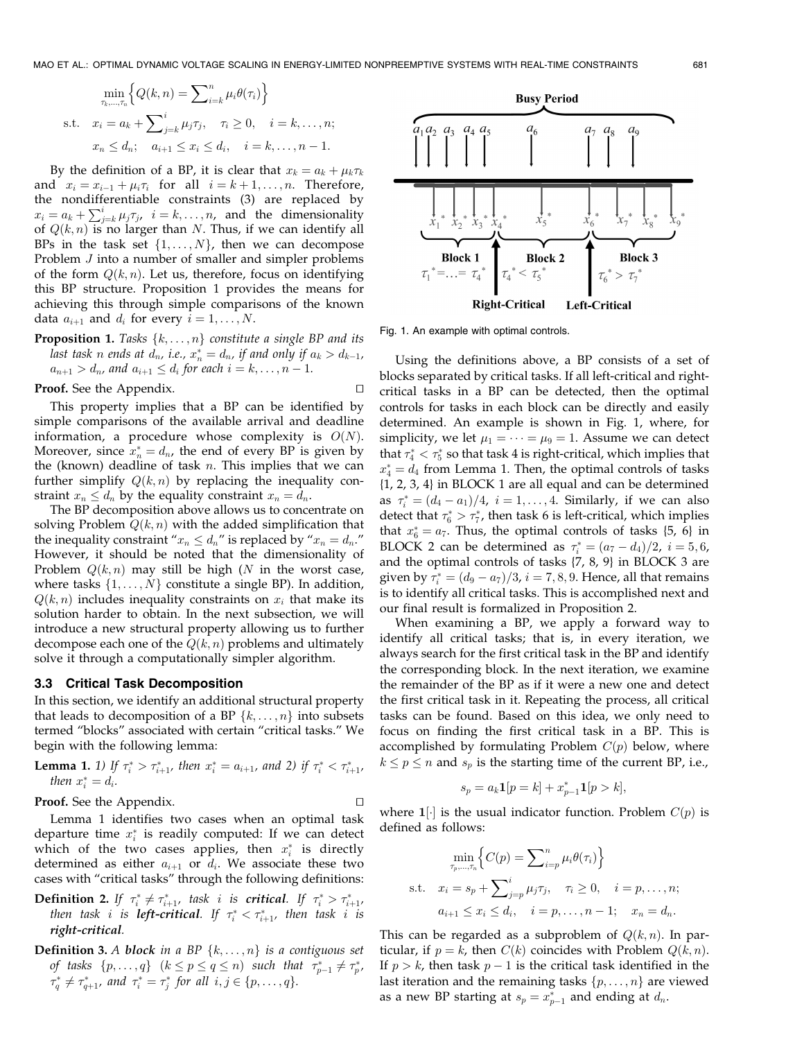$$
\min_{\tau_k, \dots, \tau_n} \left\{ Q(k, n) = \sum_{i=k}^n \mu_i \theta(\tau_i) \right\}
$$
\ns.t.  $x_i = a_k + \sum_{j=k}^i \mu_j \tau_j$ ,  $\tau_i \ge 0$ ,  $i = k, \dots, n$ ;  
\n $x_n \le d_n$ ;  $a_{i+1} \le x_i \le d_i$ ,  $i = k, \dots, n-1$ .

By the definition of a BP, it is clear that  $x_k = a_k + \mu_k \tau_k$ and  $x_i = x_{i-1} + \mu_i \tau_i$  for all  $i = k+1, \ldots, n$ . Therefore, the nondifferentiable constraints (3) are replaced by  $x_i = a_k + \sum_{j=k}^{i} \mu_j \tau_j$ ,  $i = k, ..., n$ , and the dimensionality of  $Q(k, n)$  is no larger than N. Thus, if we can identify all BPs in the task set  $\{1, \ldots, N\}$ , then we can decompose Problem J into a number of smaller and simpler problems of the form  $Q(k, n)$ . Let us, therefore, focus on identifying this BP structure. Proposition 1 provides the means for achieving this through simple comparisons of the known data  $a_{i+1}$  and  $d_i$  for every  $i = 1, \ldots, N$ .

**Proposition 1.** Tasks  $\{k, \ldots, n\}$  constitute a single BP and its last task n ends at  $d_n$ , i.e.,  $x_n^* = d_n$ , if and only if  $a_k > d_{k-1}$ ,  $a_{n+1} > d_n$ , and  $a_{i+1} \leq d_i$  for each  $i = k, \ldots, n-1$ .

**Proof.** See the Appendix.  $\Box$ 

This property implies that a BP can be identified by simple comparisons of the available arrival and deadline information, a procedure whose complexity is  $O(N)$ . Moreover, since  $x_n^* = d_n$ , the end of every BP is given by the (known) deadline of task  $n$ . This implies that we can further simplify  $Q(k, n)$  by replacing the inequality constraint  $x_n \leq d_n$  by the equality constraint  $x_n = d_n$ .

The BP decomposition above allows us to concentrate on solving Problem  $Q(k, n)$  with the added simplification that the inequality constraint " $x_n \leq d_n$ " is replaced by " $x_n = d_n$ ." However, it should be noted that the dimensionality of Problem  $Q(k, n)$  may still be high (N in the worst case, where tasks  $\{1, \ldots, N\}$  constitute a single BP). In addition,  $Q(k, n)$  includes inequality constraints on  $x_i$  that make its solution harder to obtain. In the next subsection, we will introduce a new structural property allowing us to further decompose each one of the  $Q(k, n)$  problems and ultimately solve it through a computationally simpler algorithm.

#### 3.3 Critical Task Decomposition

In this section, we identify an additional structural property that leads to decomposition of a BP  $\{k, \ldots, n\}$  into subsets termed "blocks" associated with certain "critical tasks." We begin with the following lemma:

**Lemma 1.** 1) If  $\tau_i^* > \tau_{i+1}^*$ , then  $x_i^* = a_{i+1}$ , and 2) if  $\tau_i^* < \tau_{i+1}^*$ , then  $x_i^* = d_i$ .

**Proof.** See the Appendix.  $\Box$ 

Lemma 1 identifies two cases when an optimal task departure time  $x_i^*$  is readily computed: If we can detect which of the two cases applies, then  $x_i^*$  is directly determined as either  $a_{i+1}$  or  $d_i$ . We associate these two cases with "critical tasks" through the following definitions:

**Definition 2.** If  $\tau_i^* \neq \tau_{i+1}^*$ , task i is **critical**. If  $\tau_i^* > \tau_{i+1}^*$ , then task i is **left-critical**. If  $\tau_i^* < \tau_{i+1}^*$ , then task i is right-critical.

**Definition 3.** A block in a BP  $\{k, \ldots, n\}$  is a contiguous set of tasks  $\{p, \ldots, q\}$   $(k \leq p \leq q \leq n)$  such that  $\tau_{p-1}^* \neq \tau_{p}^*$ ,  $\tau_q^* \neq \tau_{q+1}^*$ , and  $\tau_i^* = \tau_j^*$  for all  $i, j \in \{p, \ldots, q\}.$ 



Fig. 1. An example with optimal controls.

Using the definitions above, a BP consists of a set of blocks separated by critical tasks. If all left-critical and rightcritical tasks in a BP can be detected, then the optimal controls for tasks in each block can be directly and easily determined. An example is shown in Fig. 1, where, for simplicity, we let  $\mu_1 = \cdots = \mu_9 = 1$ . Assume we can detect that  $\tau_4^* < \tau_5^*$  so that task 4 is right-critical, which implies that  $x_4^* = d_4$  from Lemma 1. Then, the optimal controls of tasks {1, 2, 3, 4} in BLOCK 1 are all equal and can be determined as  $\tau_i^* = (d_4 - a_1)/4$ ,  $i = 1, \ldots, 4$ . Similarly, if we can also detect that  $\tau_6^* > \tau_7^*$ , then task 6 is left-critical, which implies that  $x_6^* = a_7$ . Thus, the optimal controls of tasks {5, 6} in BLOCK 2 can be determined as  $\tau_i^* = (a_7 - d_4)/2$ ,  $i = 5, 6$ , and the optimal controls of tasks {7, 8, 9} in BLOCK 3 are given by  $\tau_i^* = (d_9 - a_7)/3$ ,  $i = 7, 8, 9$ . Hence, all that remains is to identify all critical tasks. This is accomplished next and our final result is formalized in Proposition 2.

When examining a BP, we apply a forward way to identify all critical tasks; that is, in every iteration, we always search for the first critical task in the BP and identify the corresponding block. In the next iteration, we examine the remainder of the BP as if it were a new one and detect the first critical task in it. Repeating the process, all critical tasks can be found. Based on this idea, we only need to focus on finding the first critical task in a BP. This is accomplished by formulating Problem  $C(p)$  below, where  $k \le p \le n$  and  $s_p$  is the starting time of the current BP, i.e.,

$$
s_p = a_k \mathbf{1}[p = k] + x_{p-1}^* \mathbf{1}[p > k],
$$

where  $1[\cdot]$  is the usual indicator function. Problem  $C(p)$  is defined as follows:

$$
\min_{\tau_p,\dots,\tau_n} \left\{ C(p) = \sum_{i=p}^n \mu_i \theta(\tau_i) \right\}
$$
\ns.t.  $x_i = s_p + \sum_{j=p}^i \mu_j \tau_j$ ,  $\tau_i \ge 0$ ,  $i = p, \dots, n$ ;  
\n $a_{i+1} \le x_i \le d_i$ ,  $i = p, \dots, n-1$ ;  $x_n = d_n$ .

This can be regarded as a subproblem of  $Q(k, n)$ . In particular, if  $p = k$ , then  $C(k)$  coincides with Problem  $Q(k, n)$ . If  $p > k$ , then task  $p - 1$  is the critical task identified in the last iteration and the remaining tasks  $\{p, \ldots, n\}$  are viewed as a new BP starting at  $s_p = x_{p-1}^*$  and ending at  $d_n$ .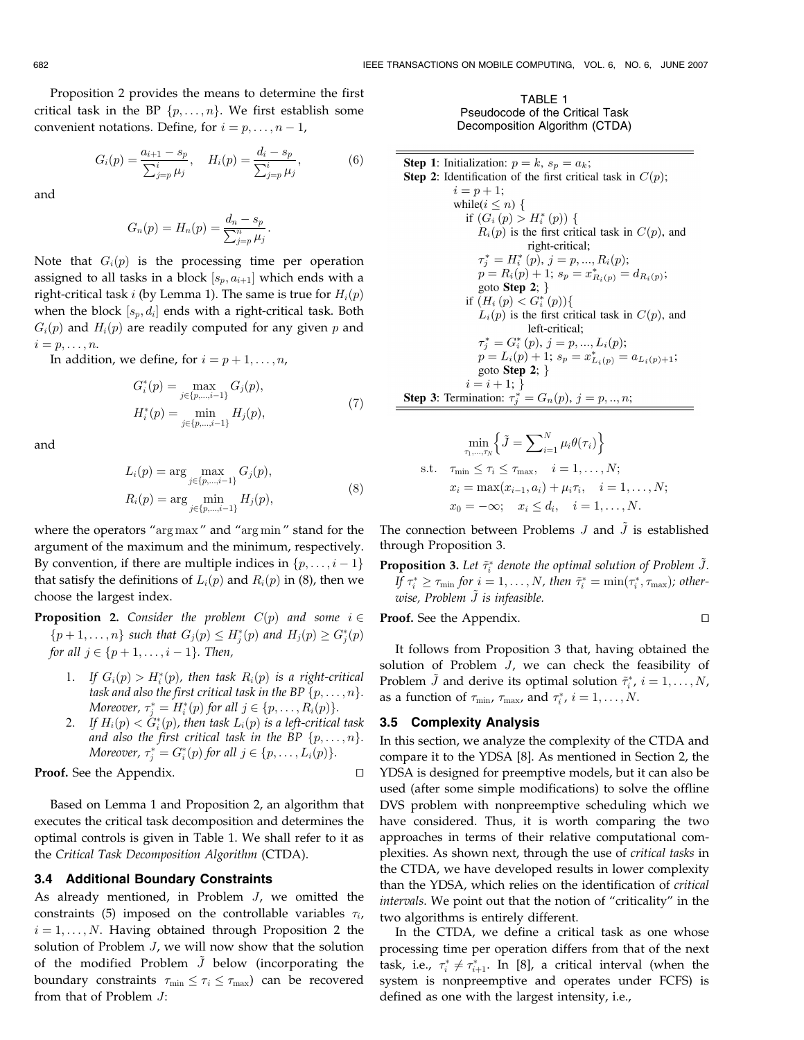Proposition 2 provides the means to determine the first critical task in the BP  $\{p, \ldots, n\}$ . We first establish some convenient notations. Define, for  $i = p, \ldots, n - 1$ ,

$$
G_i(p) = \frac{a_{i+1} - s_p}{\sum_{j=p}^i \mu_j}, \quad H_i(p) = \frac{d_i - s_p}{\sum_{j=p}^i \mu_j},
$$
(6)

and

$$
G_n(p) = H_n(p) = \frac{d_n - s_p}{\sum_{j=p}^n \mu_j}.
$$

Note that  $G_i(p)$  is the processing time per operation assigned to all tasks in a block  $[s_p, a_{i+1}]$  which ends with a right-critical task i (by Lemma 1). The same is true for  $H_i(p)$ when the block  $[s_p, d_i]$  ends with a right-critical task. Both  $G_i(p)$  and  $H_i(p)$  are readily computed for any given p and  $i = p, \ldots, n$ .

In addition, we define, for  $i = p + 1, \ldots, n$ ,

$$
G_i^*(p) = \max_{j \in \{p,\dots,i-1\}} G_j(p),
$$
  
\n
$$
H_i^*(p) = \min_{j \in \{p,\dots,i-1\}} H_j(p),
$$
\n(7)

and

$$
L_i(p) = \arg \max_{j \in \{p,\dots,i-1\}} G_j(p),
$$
  
\n
$$
R_i(p) = \arg \min_{j \in \{p,\dots,i-1\}} H_j(p),
$$
\n(8)

where the operators "arg max " and "arg min " stand for the argument of the maximum and the minimum, respectively. By convention, if there are multiple indices in  $\{p, \ldots, i-1\}$ that satisfy the definitions of  $L_i(p)$  and  $R_i(p)$  in (8), then we choose the largest index.

**Proposition 2.** Consider the problem  $C(p)$  and some  $i \in$  $\{p+1,\ldots,n\}$  such that  $G_j(p) \leq H_j^*(p)$  and  $H_j(p) \geq G_j^*(p)$ for all  $j \in \{p+1,\ldots,i-1\}$ . Then,

- 1. If  $G_i(p) > H_i^*(p)$ , then task  $R_i(p)$  is a right-critical task and also the first critical task in the BP  $\{p, \ldots, n\}$ . Moreover,  $\tau_j^* = H_i^*(p)$  for all  $j \in \{p, \ldots, R_i(p)\}.$
- 2. If  $H_i(p) < \check{G}_i^*(p)$ , then task  $L_i(p)$  is a left-critical task and also the first critical task in the BP  $\{p, \ldots, n\}$ . Moreover,  $\tau_j^* = G_i^*(p)$  for all  $j \in \{p, \ldots, L_i(p)\}.$

**Proof.** See the Appendix.  $\Box$ 

Based on Lemma 1 and Proposition 2, an algorithm that executes the critical task decomposition and determines the optimal controls is given in Table 1. We shall refer to it as the Critical Task Decomposition Algorithm (CTDA).

### 3.4 Additional Boundary Constraints

As already mentioned, in Problem J, we omitted the constraints (5) imposed on the controllable variables  $\tau_i$ ,  $i = 1, \ldots, N$ . Having obtained through Proposition 2 the solution of Problem *J*, we will now show that the solution of the modified Problem  $\tilde{J}$  below (incorporating the boundary constraints  $\tau_{\min} \leq \tau_i \leq \tau_{\max}$  can be recovered from that of Problem J:

TABLE 1 Pseudocode of the Critical Task Decomposition Algorithm (CTDA)

**Step 1:** Initialization:  $p = k$ ,  $s_p = a_k$ ; **Step 2:** Identification of the first critical task in  $C(p)$ ;  $i = p + 1$ ; while( $i \leq n$ ) { if  $(G_i(p) > H_i^*(p))$  {  $R_i(p)$  is the first critical task in  $C(p)$ , and right-critical;  $\tau_j^* = H_i^* (p), j = p, ..., R_i (p);$  $p = R_i(p) + 1;$   $s_p = x_{R_i(p)}^* = d_{R_i(p)};$ goto Step 2;  $\}$ if  $(H_i(p) < G_i^*(p))$  $L_i(p)$  is the first critical task in  $C(p)$ , and left-critical;  $\tau_i^* = G_i^*(p), j = p, ..., L_i(p);$  $p = L_i(p) + 1$ ;  $s_p = x_{L_i(p)}^* = a_{L_i(p)+1}$ ; goto Step 2;  $\}$  $i = i + 1;$ **Step 3:** Termination:  $\tau_i^* = G_n(p), j = p, ..., n;$ 

$$
\min_{\tau_1,\dots,\tau_N} \left\{ \tilde{J} = \sum_{i=1}^N \mu_i \theta(\tau_i) \right\}
$$
\ns.t.

\n
$$
\tau_{\min} \leq \tau_i \leq \tau_{\max}, \quad i = 1, \dots, N;
$$
\n
$$
x_i = \max(x_{i-1}, a_i) + \mu_i \tau_i, \quad i = 1, \dots, N;
$$
\n
$$
x_0 = -\infty; \quad x_i \leq d_i, \quad i = 1, \dots, N.
$$

The connection between Problems  $J$  and  $\tilde{J}$  is established through Proposition 3.

**Proposition 3.** Let  $\tilde{\tau}_i^*$  denote the optimal solution of Problem  $\tilde{J}$ . If  $\tau_i^* \ge \tau_{\min}$  for  $i = 1, \ldots, N$ , then  $\tilde{\tau}_i^* = \min(\tau_i^*, \tau_{\max})$ ; otherwise, Problem  $\tilde{J}$  is infeasible.

**Proof.** See the Appendix.  $\Box$ 

It follows from Proposition 3 that, having obtained the solution of Problem J, we can check the feasibility of Problem  $\tilde{J}$  and derive its optimal solution  $\tilde{\tau}_i^*, i = 1, \ldots, N$ , as a function of  $\tau_{\min}$ ,  $\tau_{\max}$ , and  $\tau_i^*$ ,  $i = 1, \ldots, N$ .

# 3.5 Complexity Analysis

In this section, we analyze the complexity of the CTDA and compare it to the YDSA [8]. As mentioned in Section 2, the YDSA is designed for preemptive models, but it can also be used (after some simple modifications) to solve the offline DVS problem with nonpreemptive scheduling which we have considered. Thus, it is worth comparing the two approaches in terms of their relative computational complexities. As shown next, through the use of critical tasks in the CTDA, we have developed results in lower complexity than the YDSA, which relies on the identification of critical intervals. We point out that the notion of "criticality" in the two algorithms is entirely different.

In the CTDA, we define a critical task as one whose processing time per operation differs from that of the next task, i.e.,  $\tau_i^* \neq \tau_{i+1}^*$ . In [8], a critical interval (when the system is nonpreemptive and operates under FCFS) is defined as one with the largest intensity, i.e.,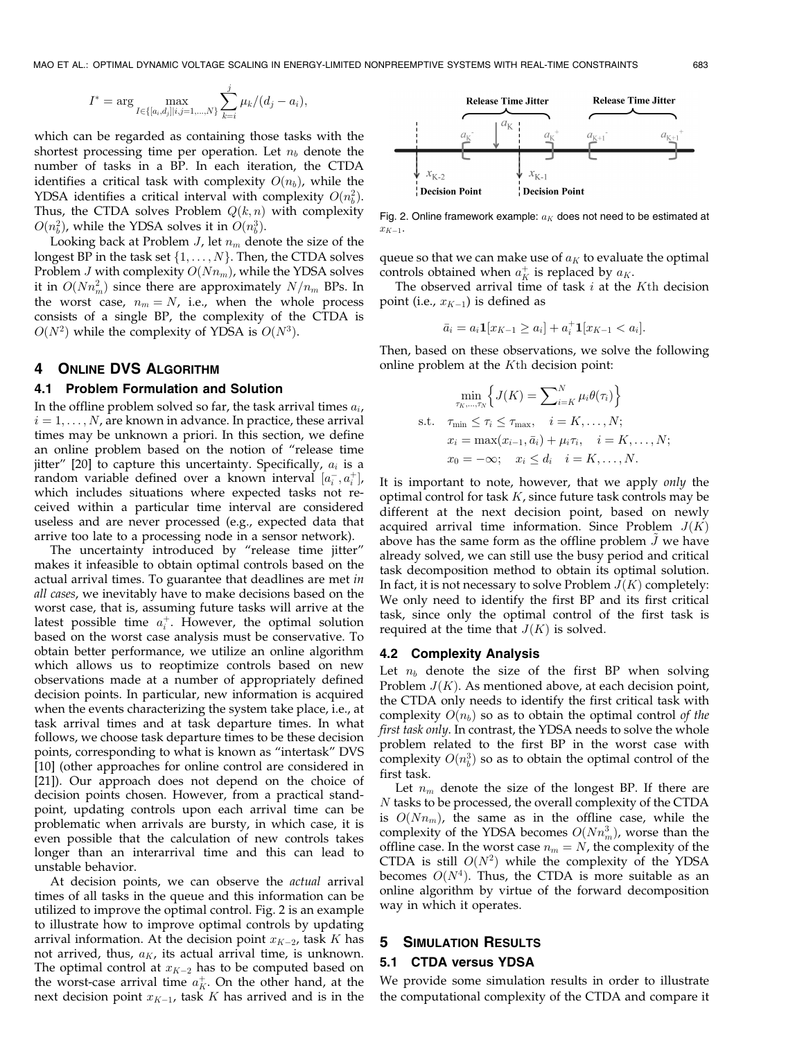$$
I^* = \arg \max_{I \in \{[a_i, d_j][i, j = 1, ..., N\}} \sum_{k=i}^{j} \mu_k/(d_j - a_i),
$$

which can be regarded as containing those tasks with the shortest processing time per operation. Let  $n_b$  denote the number of tasks in a BP. In each iteration, the CTDA identifies a critical task with complexity  $O(n_b)$ , while the YDSA identifies a critical interval with complexity  $O(n_b^2)$ . Thus, the CTDA solves Problem  $Q(k, n)$  with complexity  $O(n_b^2)$ , while the YDSA solves it in  $O(n_b^3)$ .

Looking back at Problem *J*, let  $n_m$  denote the size of the longest BP in the task set  $\{1, \ldots, N\}$ . Then, the CTDA solves Problem *J* with complexity  $O(Nn_m)$ , while the YDSA solves it in  $O(Nn_m^2)$  since there are approximately  $N/n_m$  BPs. In the worst case,  $n_m = N$ , i.e., when the whole process consists of a single BP, the complexity of the CTDA is  $O(N^2)$  while the complexity of YDSA is  $O(N^3)$ .

# 4 ONLINE DVS ALGORITHM

## 4.1 Problem Formulation and Solution

In the offline problem solved so far, the task arrival times  $a_i$ ,  $i = 1, \ldots, N$ , are known in advance. In practice, these arrival times may be unknown a priori. In this section, we define an online problem based on the notion of "release time jitter" [20] to capture this uncertainty. Specifically,  $a_i$  is a random variable defined over a known interval  $[a_i^-, a_i^+]$ , which includes situations where expected tasks not received within a particular time interval are considered useless and are never processed (e.g., expected data that arrive too late to a processing node in a sensor network).

The uncertainty introduced by "release time jitter" makes it infeasible to obtain optimal controls based on the actual arrival times. To guarantee that deadlines are met in all cases, we inevitably have to make decisions based on the worst case, that is, assuming future tasks will arrive at the latest possible time  $a_i^+$ . However, the optimal solution based on the worst case analysis must be conservative. To obtain better performance, we utilize an online algorithm which allows us to reoptimize controls based on new observations made at a number of appropriately defined decision points. In particular, new information is acquired when the events characterizing the system take place, i.e., at task arrival times and at task departure times. In what follows, we choose task departure times to be these decision points, corresponding to what is known as "intertask" DVS [10] (other approaches for online control are considered in [21]). Our approach does not depend on the choice of decision points chosen. However, from a practical standpoint, updating controls upon each arrival time can be problematic when arrivals are bursty, in which case, it is even possible that the calculation of new controls takes longer than an interarrival time and this can lead to unstable behavior.

At decision points, we can observe the actual arrival times of all tasks in the queue and this information can be utilized to improve the optimal control. Fig. 2 is an example to illustrate how to improve optimal controls by updating arrival information. At the decision point  $x_{K-2}$ , task  $K$  has not arrived, thus,  $a_K$ , its actual arrival time, is unknown. The optimal control at  $x_{K-2}$  has to be computed based on the worst-case arrival time  $a_K^+$ . On the other hand, at the next decision point  $x_{K-1}$ , task  $K$  has arrived and is in the

**Release Time Jitter Release Time Jitter**  $a_{\rm K}$  $\bigvee$   $x_{K-2}$  $x_{\textrm{K-1}}$ Decision Point <sup>1</sup> Decision Point

Fig. 2. Online framework example:  $a_K$  does not need to be estimated at  $x_{K-1}$ .

queue so that we can make use of  $a_K$  to evaluate the optimal controls obtained when  $a_K^+$  is replaced by  $a_K$ .

The observed arrival time of task  $i$  at the Kth decision point (i.e.,  $x_{K-1}$ ) is defined as

$$
\bar{a}_i = a_i \mathbf{1}[x_{K-1} \ge a_i] + a_i^+ \mathbf{1}[x_{K-1} < a_i].
$$

Then, based on these observations, we solve the following online problem at the Kth decision point:

$$
\min_{\tau_K, \dots, \tau_N} \left\{ J(K) = \sum_{i=K}^N \mu_i \theta(\tau_i) \right\}
$$
\n
$$
\text{s.t.} \quad \tau_{\min} \le \tau_i \le \tau_{\max}, \quad i = K, \dots, N;
$$
\n
$$
x_i = \max(x_{i-1}, \bar{a}_i) + \mu_i \tau_i, \quad i = K, \dots, N;
$$
\n
$$
x_0 = -\infty; \quad x_i \le d_i \quad i = K, \dots, N.
$$

It is important to note, however, that we apply only the optimal control for task  $K$ , since future task controls may be different at the next decision point, based on newly acquired arrival time information. Since Problem  $J(K)$ above has the same form as the offline problem  $\tilde{J}$  we have already solved, we can still use the busy period and critical task decomposition method to obtain its optimal solution. In fact, it is not necessary to solve Problem  $J(K)$  completely: We only need to identify the first BP and its first critical task, since only the optimal control of the first task is required at the time that  $J(K)$  is solved.

#### 4.2 Complexity Analysis

Let  $n_b$  denote the size of the first BP when solving Problem  $J(K)$ . As mentioned above, at each decision point, the CTDA only needs to identify the first critical task with complexity  $O(n_b)$  so as to obtain the optimal control of the first task only. In contrast, the YDSA needs to solve the whole problem related to the first BP in the worst case with complexity  $O(n_b^3)$  so as to obtain the optimal control of the first task.

Let  $n_m$  denote the size of the longest BP. If there are N tasks to be processed, the overall complexity of the CTDA is  $O(Nn_m)$ , the same as in the offline case, while the complexity of the YDSA becomes  $O(Nn_m^3)$ , worse than the offline case. In the worst case  $n_m = N$ , the complexity of the CTDA is still  $O(N^2)$  while the complexity of the YDSA becomes  $O(N<sup>4</sup>)$ . Thus, the CTDA is more suitable as an online algorithm by virtue of the forward decomposition way in which it operates.

# **SIMULATION RESULTS**

#### 5.1 CTDA versus YDSA

We provide some simulation results in order to illustrate the computational complexity of the CTDA and compare it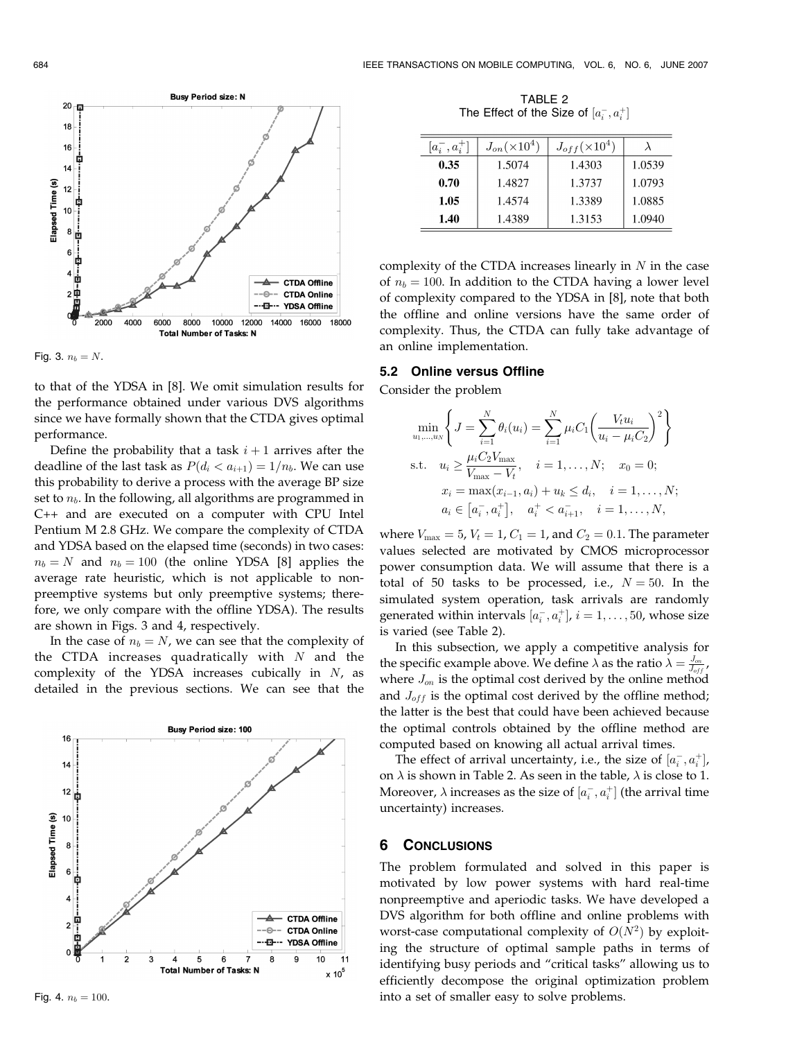



to that of the YDSA in [8]. We omit simulation results for the performance obtained under various DVS algorithms since we have formally shown that the CTDA gives optimal performance.

Define the probability that a task  $i + 1$  arrives after the deadline of the last task as  $P(d_i < a_{i+1}) = 1/n_b$ . We can use this probability to derive a process with the average BP size set to  $n_b$ . In the following, all algorithms are programmed in C++ and are executed on a computer with CPU Intel Pentium M 2.8 GHz. We compare the complexity of CTDA and YDSA based on the elapsed time (seconds) in two cases:  $n_b = N$  and  $n_b = 100$  (the online YDSA [8] applies the average rate heuristic, which is not applicable to nonpreemptive systems but only preemptive systems; therefore, we only compare with the offline YDSA). The results are shown in Figs. 3 and 4, respectively.

In the case of  $n_b = N$ , we can see that the complexity of the CTDA increases quadratically with  $N$  and the complexity of the YDSA increases cubically in  $N$ , as detailed in the previous sections. We can see that the



TABLE 2 The Effect of the Size of  $[a_i^-,a_i^+]$ 

| $[a_i^-, a_i^+]$ | $J_{on}(\times 10^4)$ | $J_{off}(\times 10^4)$ |        |
|------------------|-----------------------|------------------------|--------|
| 0.35             | 1.5074                | 1.4303                 | 1.0539 |
| 0.70             | 1.4827                | 1.3737                 | 1.0793 |
| 1.05             | 1.4574                | 1.3389                 | 1.0885 |
| 1.40             | 1.4389                | 1.3153                 | 1.0940 |

complexity of the CTDA increases linearly in  $N$  in the case of  $n_b = 100$ . In addition to the CTDA having a lower level of complexity compared to the YDSA in [8], note that both the offline and online versions have the same order of complexity. Thus, the CTDA can fully take advantage of an online implementation.

#### 5.2 Online versus Offline

Consider the problem

$$
\min_{u_1, \dots, u_N} \left\{ J = \sum_{i=1}^N \theta_i(u_i) = \sum_{i=1}^N \mu_i C_1 \left( \frac{V_t u_i}{u_i - \mu_i C_2} \right)^2 \right\}
$$
\n
$$
\text{s.t.} \quad u_i \ge \frac{\mu_i C_2 V_{\text{max}}}{V_{\text{max}} - V_t}, \quad i = 1, \dots, N; \quad x_0 = 0;
$$
\n
$$
x_i = \max(x_{i-1}, a_i) + u_k \le d_i, \quad i = 1, \dots, N;
$$
\n
$$
a_i \in [a_i^-, a_i^+], \quad a_i^+ < a_{i+1}^-, \quad i = 1, \dots, N,
$$

where  $V_{\text{max}} = 5$ ,  $V_t = 1$ ,  $C_1 = 1$ , and  $C_2 = 0.1$ . The parameter values selected are motivated by CMOS microprocessor power consumption data. We will assume that there is a total of 50 tasks to be processed, i.e.,  $N = 50$ . In the simulated system operation, task arrivals are randomly generated within intervals  $[a_i^-, a_i^+]$ ,  $i = 1, \ldots, 50$ , whose size is varied (see Table 2).

In this subsection, we apply a competitive analysis for the specific example above. We define  $\lambda$  as the ratio  $\lambda = \frac{J_{on}}{J_{off}}$ , where  $J_{on}$  is the optimal cost derived by the online method and  $J_{off}$  is the optimal cost derived by the offline method; the latter is the best that could have been achieved because the optimal controls obtained by the offline method are computed based on knowing all actual arrival times.

The effect of arrival uncertainty, i.e., the size of  $[a_i^-, a_i^+]$ , on  $\lambda$  is shown in Table 2. As seen in the table,  $\lambda$  is close to 1. Moreover,  $\lambda$  increases as the size of  $[a_i^-,a_i^+]$  (the arrival time uncertainty) increases.

# 6 CONCLUSIONS

The problem formulated and solved in this paper is motivated by low power systems with hard real-time nonpreemptive and aperiodic tasks. We have developed a DVS algorithm for both offline and online problems with worst-case computational complexity of  $O(N^2)$  by exploiting the structure of optimal sample paths in terms of identifying busy periods and "critical tasks" allowing us to efficiently decompose the original optimization problem into a set of smaller easy to solve problems.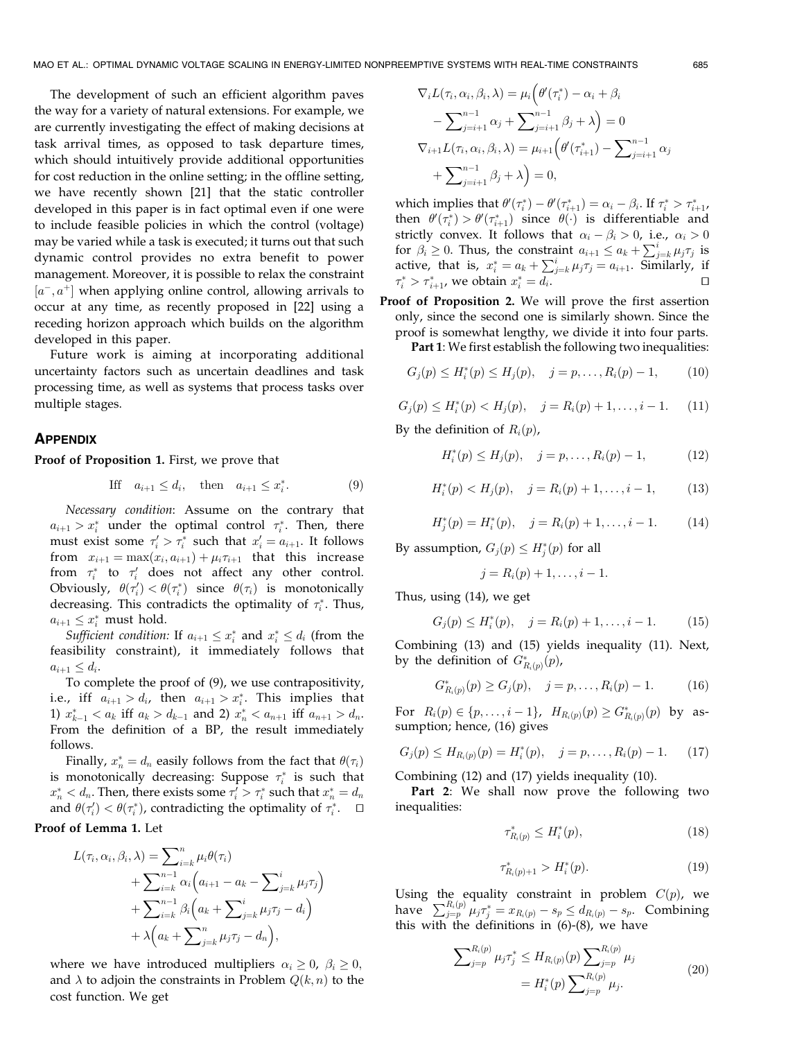The development of such an efficient algorithm paves the way for a variety of natural extensions. For example, we are currently investigating the effect of making decisions at task arrival times, as opposed to task departure times, which should intuitively provide additional opportunities for cost reduction in the online setting; in the offline setting, we have recently shown [21] that the static controller developed in this paper is in fact optimal even if one were to include feasible policies in which the control (voltage) may be varied while a task is executed; it turns out that such dynamic control provides no extra benefit to power management. Moreover, it is possible to relax the constraint  $[a^-, a^+]$  when applying online control, allowing arrivals to occur at any time, as recently proposed in [22] using a receding horizon approach which builds on the algorithm developed in this paper.

Future work is aiming at incorporating additional uncertainty factors such as uncertain deadlines and task processing time, as well as systems that process tasks over multiple stages.

#### **APPENDIX**

Proof of Proposition 1. First, we prove that

$$
\text{If } a_{i+1} \le d_i, \quad \text{then } a_{i+1} \le x_i^*.
$$
 (9)

Necessary condition: Assume on the contrary that  $a_{i+1} > x_i^*$  under the optimal control  $\tau_i^*$ . Then, there must exist some  $\tau'_i > \tau_i^*$  such that  $x'_i = a_{i+1}$ . It follows from  $x_{i+1} = \max(x_i, a_{i+1}) + \mu_i \tau_{i+1}$  that this increase from  $\tau_i^*$  to  $\tau_i'$  does not affect any other control. Obviously,  $\theta(\tau_i') < \theta(\tau_i^*)$  since  $\theta(\tau_i)$  is monotonically decreasing. This contradicts the optimality of  $\tau_i^*$ . Thus,  $a_{i+1} \leq x_i^*$  must hold.

Sufficient condition: If  $a_{i+1} \leq x_i^*$  and  $x_i^* \leq d_i$  (from the feasibility constraint), it immediately follows that  $a_{i+1} \leq d_i$ .

To complete the proof of (9), we use contrapositivity, i.e., iff  $a_{i+1} > d_i$ , then  $a_{i+1} > x_i^*$ . This implies that 1)  $x_{k-1}^* < a_k$  iff  $a_k > d_{k-1}$  and 2)  $x_n^* < a_{n+1}$  iff  $a_{n+1} > d_n$ . From the definition of a BP, the result immediately follows.

Finally,  $x_n^* = d_n$  easily follows from the fact that  $\theta(\tau_i)$ is monotonically decreasing: Suppose  $\tau_i^*$  is such that  $x_n^* < d_n$ . Then, there exists some  $\tau'_i > \tau_i^*$  such that  $x_n^* = d_n$ and  $\theta(\tau_i') < \theta(\tau_i^*)$ , contradicting the optimality of  $\tau_i^*$ .  $\Box$ 

Proof of Lemma 1. Let

$$
L(\tau_i, \alpha_i, \beta_i, \lambda) = \sum_{i=k}^n \mu_i \theta(\tau_i)
$$
  
+ 
$$
\sum_{i=k}^{n-1} \alpha_i \left( a_{i+1} - a_k - \sum_{j=k}^i \mu_j \tau_j \right)
$$
  
+ 
$$
\sum_{i=k}^{n-1} \beta_i \left( a_k + \sum_{j=k}^i \mu_j \tau_j - d_i \right)
$$
  
+ 
$$
\lambda \left( a_k + \sum_{j=k}^n \mu_j \tau_j - d_n \right),
$$

where we have introduced multipliers  $\alpha_i \geq 0$ ,  $\beta_i \geq 0$ , and  $\lambda$  to adjoin the constraints in Problem  $Q(k, n)$  to the cost function. We get

$$
\nabla_i L(\tau_i, \alpha_i, \beta_i, \lambda) = \mu_i \Big( \theta'(\tau_i^*) - \alpha_i + \beta_i
$$
  
- 
$$
\sum_{j=i+1}^{n-1} \alpha_j + \sum_{j=i+1}^{n-1} \beta_j + \lambda \Big) = 0
$$
  

$$
\nabla_{i+1} L(\tau_i, \alpha_i, \beta_i, \lambda) = \mu_{i+1} \Big( \theta'(\tau_{i+1}^*) - \sum_{j=i+1}^{n-1} \alpha_j
$$
  
+ 
$$
\sum_{j=i+1}^{n-1} \beta_j + \lambda \Big) = 0,
$$

which implies that  $\theta'(\tau_i^*) - \theta'(\tau_{i+1}^*) = \alpha_i - \beta_i$ . If  $\tau_i^* > \tau_{i+1}^*$ , then  $\theta'(\tau_i^*) > \theta'(\tau_{i+1}^*)$  since  $\theta(\cdot)$  is differentiable and strictly convex. It follows that  $\alpha_i - \beta_i > 0$ , i.e.,  $\alpha_i > 0$ for  $\beta_i \ge 0$ . Thus, the constraint  $a_{i+1} \le a_k + \sum_{j=k}^{i} \mu_j \tau_j$  is active, that is,  $x_i^* = a_k + \sum_{j=k}^{i} \mu_j \tau_j = a_{i+1}$ . Similarly, if  $\tau_i^* > \tau_{i+1}^*$ , we obtain  $x_i^* = d_i$ .

Proof of Proposition 2. We will prove the first assertion only, since the second one is similarly shown. Since the proof is somewhat lengthy, we divide it into four parts.

Part 1: We first establish the following two inequalities:

$$
G_j(p) \le H_i^*(p) \le H_j(p), \quad j = p, \dots, R_i(p) - 1,
$$
 (10)

$$
G_j(p) \le H_i^*(p) < H_j(p), \quad j = R_i(p) + 1, \dots, i - 1. \tag{11}
$$

By the definition of  $R_i(p)$ ,

$$
H_i^*(p) \le H_j(p), \quad j = p, \dots, R_i(p) - 1,\tag{12}
$$

$$
H_i^*(p) < H_j(p), \quad j = R_i(p) + 1, \dots, i - 1,\tag{13}
$$

 $H_j^*(p) = H_i^*(p), \quad j = R_i(p) + 1, \ldots, i - 1.$  (14)

By assumption,  $G_j(p) \le H^*_j(p)$  for all

$$
j=R_i(p)+1,\ldots,i-1.
$$

Thus, using (14), we get

$$
G_j(p) \le H_i^*(p), \quad j = R_i(p) + 1, \dots, i - 1.
$$
 (15)

Combining (13) and (15) yields inequality (11). Next, by the definition of  $G^*_{R_i(p)}(p)$ ,

$$
G_{R_i(p)}^*(p) \ge G_j(p), \quad j = p, \dots, R_i(p) - 1.
$$
 (16)

For  $R_i(p) \in \{p, \ldots, i-1\}$ ,  $H_{R_i(p)}(p) \geq G_{R_i(p)}^*(p)$  by assumption; hence, (16) gives

$$
G_j(p) \le H_{R_i(p)}(p) = H_i^*(p), \quad j = p, \dots, R_i(p) - 1. \tag{17}
$$

Combining (12) and (17) yields inequality (10).

Part 2: We shall now prove the following two inequalities:

$$
\tau_{R_i(p)}^* \le H_i^*(p),\tag{18}
$$

$$
\tau_{R_i(p)+1}^* > H_i^*(p). \tag{19}
$$

Using the equality constraint in problem  $C(p)$ , we have  $\sum_{j=p}^{R_i(p)} \mu_j \tau_j^* = x_{R_i(p)} - s_p \leq d_{R_i(p)} - s_p$ . Combining this with the definitions in (6)-(8), we have

$$
\sum_{j=p}^{R_i(p)} \mu_j \tau_j^* \le H_{R_i(p)}(p) \sum_{j=p}^{R_i(p)} \mu_j
$$
  
=  $H_i^*(p) \sum_{j=p}^{R_i(p)} \mu_j.$  (20)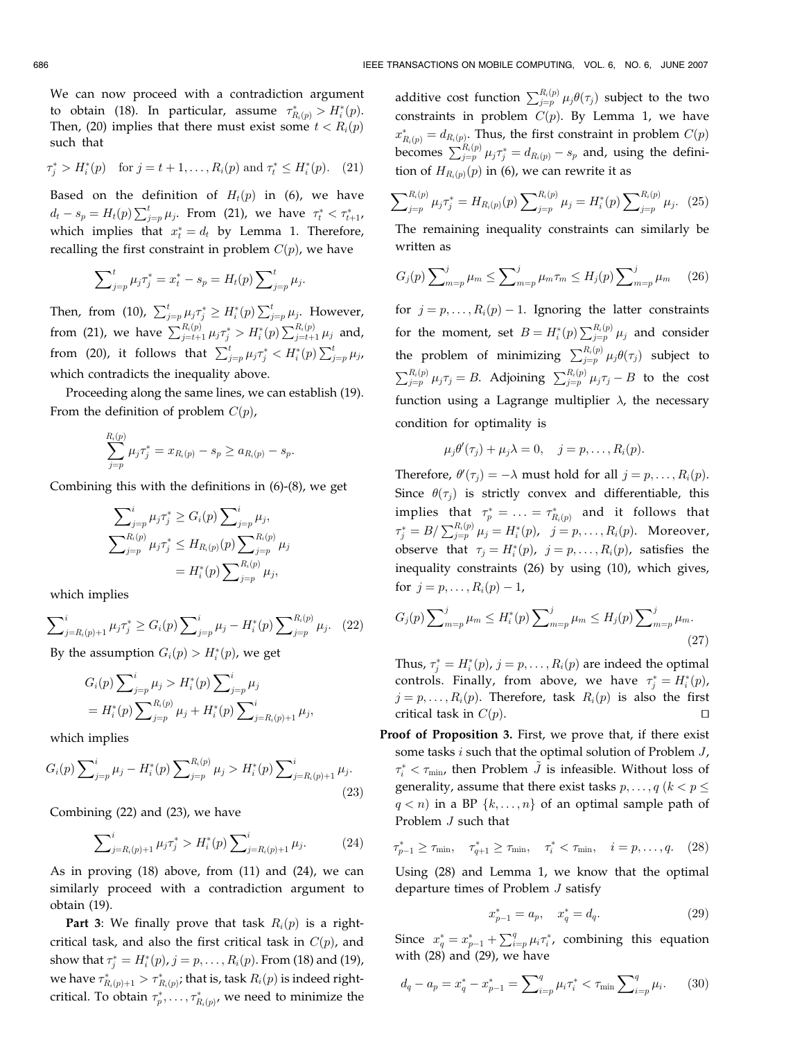We can now proceed with a contradiction argument to obtain (18). In particular, assume  $\tau_{R_i(p)}^* > H_i^*(p)$ . Then, (20) implies that there must exist some  $t < R_i(p)$ such that

$$
\tau_j^* > H_i^*(p)
$$
 for  $j = t + 1, ..., R_i(p)$  and  $\tau_t^* \le H_i^*(p)$ . (21)

Based on the definition of  $H_t(p)$  in (6), we have  $d_t - s_p = H_t(p) \sum_{j=p}^{t} \mu_j$ . From (21), we have  $\tau_t^* < \tau_{t+1}^*$ , which implies that  $x_t^* = d_t$  by Lemma 1. Therefore, recalling the first constraint in problem  $C(p)$ , we have

$$
\sum_{j=p}^{t} \mu_j \tau_j^* = x_t^* - s_p = H_t(p) \sum_{j=p}^{t} \mu_j.
$$

Then, from (10),  $\sum_{j=p}^{t} \mu_j \tau_j^* \geq H_i^*(p) \sum_{j=p}^{t} \mu_j$ . However, from (21), we have  $\sum_{j=t+1}^{R_i(p)} \mu_j \tau_j^* > H_i^*(p) \sum_{j=t+1}^{R_i(p)} \mu_j$  and, from (20), it follows that  $\sum_{j=p}^{t} \mu_j \tau_j^* \langle H_i^*(p) \sum_{j=p}^{t} \mu_j p \rangle$ which contradicts the inequality above.

Proceeding along the same lines, we can establish (19). From the definition of problem  $C(p)$ ,

$$
\sum_{j=p}^{R_i(p)} \mu_j \tau_j^* = x_{R_i(p)} - s_p \ge a_{R_i(p)} - s_p.
$$

Combining this with the definitions in (6)-(8), we get

$$
\sum_{j=p}^{i} \mu_j \tau_j^* \ge G_i(p) \sum_{j=p}^{i} \mu_j,
$$
  

$$
\sum_{j=p}^{R_i(p)} \mu_j \tau_j^* \le H_{R_i(p)}(p) \sum_{j=p}^{R_i(p)} \mu_j
$$
  

$$
= H_i^*(p) \sum_{j=p}^{R_i(p)} \mu_j,
$$

which implies

$$
\sum_{j=R_i(p)+1}^i \mu_j \tau_j^* \ge G_i(p) \sum_{j=p}^i \mu_j - H_i^*(p) \sum_{j=p}^{R_i(p)} \mu_j. \tag{22}
$$

By the assumption  $G_i(p) > H_i^*(p)$ , we get

$$
G_i(p) \sum_{j=p}^{i} \mu_j > H_i^*(p) \sum_{j=p}^{i} \mu_j
$$
  
=  $H_i^*(p) \sum_{j=p}^{R_i(p)} \mu_j + H_i^*(p) \sum_{j=R_i(p)+1}^{i} \mu_j$ ,

which implies

$$
G_i(p) \sum_{j=p}^{i} \mu_j - H_i^*(p) \sum_{j=p}^{R_i(p)} \mu_j > H_i^*(p) \sum_{j=R_i(p)+1}^{i} \mu_j.
$$
\n(23)

Combining (22) and (23), we have

$$
\sum_{j=R_i(p)+1}^i \mu_j \tau_j^* > H_i^*(p) \sum_{j=R_i(p)+1}^i \mu_j.
$$
 (24)

As in proving (18) above, from (11) and (24), we can similarly proceed with a contradiction argument to obtain (19).

**Part 3:** We finally prove that task  $R_i(p)$  is a rightcritical task, and also the first critical task in  $C(p)$ , and show that  $\tau_j^*=H_i^*(p)$  ,  $j=p,\ldots,R_i(p).$  From (18) and (19), we have  $\tau^*_{R_i(p)+1} > \tau^*_{R_i(p)}$ ; that is, task  $R_i(p)$  is indeed rightcritical. To obtain  $\tau_p^*, \ldots, \tau_{R_i(p)}^*$ , we need to minimize the

additive cost function  $\sum_{j=p}^{R_i(p)} \mu_j \theta(\tau_j)$  subject to the two constraints in problem  $C(p)$ . By Lemma 1, we have  $x_{R_i(p)}^* = d_{R_i(p)}$ . Thus, the first constraint in problem  $C(p)$ becomes  $\sum_{j=p}^{R_i(p)} \mu_j \tau_j^* = d_{R_i(p)} - s_p$  and, using the definition of  $H_{R_i(p)}(p)$  in (6), we can rewrite it as

$$
\sum_{j=p}^{R_i(p)} \mu_j \tau_j^* = H_{R_i(p)}(p) \sum_{j=p}^{R_i(p)} \mu_j = H_i^*(p) \sum_{j=p}^{R_i(p)} \mu_j.
$$
 (25)

The remaining inequality constraints can similarly be written as

$$
G_j(p) \sum_{m=p}^{j} \mu_m \le \sum_{m=p}^{j} \mu_m \tau_m \le H_j(p) \sum_{m=p}^{j} \mu_m \qquad (26)
$$

for  $j = p, \ldots, R_i(p) - 1$ . Ignoring the latter constraints for the moment, set  $B = H_i^*(p) \sum_{j=p}^{R_i(p)} \mu_j$  and consider the problem of minimizing  $\sum_{j=p}^{R_i(p)} \mu_j \theta(\tau_j)$  subject to  $\sum_{j=p}^{R_i(p)} \mu_j \tau_j = B$ . Adjoining  $\sum_{j=p}^{R_i(p)} \mu_j \tau_j - B$  to the cost function using a Lagrange multiplier  $\lambda$ , the necessary condition for optimality is

$$
\mu_j\theta'(\tau_j)+\mu_j\lambda=0, \quad j=p,\ldots,R_i(p).
$$

Therefore,  $\theta'(\tau_j) = -\lambda$  must hold for all  $j = p, \ldots, R_i(p)$ . Since  $\theta(\tau_i)$  is strictly convex and differentiable, this implies that  $\tau_p^* = \ldots = \tau_{R_i(p)}^*$  and it follows that  $\tau_j^* = B/\sum_{j=p}^{R_i(p)}\mu_j = H_i^*(p)$ ,  $j = p, \ldots, R_i(p)$ . Moreover, observe that  $\tau_j = H_i^*(p)$ ,  $j = p, \ldots, R_i(p)$ , satisfies the inequality constraints (26) by using (10), which gives, for  $j = p, ..., R_i(p) - 1$ ,

$$
G_j(p) \sum\nolimits_{m=p}^{j} \mu_m \le H_i^*(p) \sum\nolimits_{m=p}^{j} \mu_m \le H_j(p) \sum\nolimits_{m=p}^{j} \mu_m.
$$
\n(27)

Thus,  $\tau_j^* = H_i^*(p)$ ,  $j = p, \ldots, R_i(p)$  are indeed the optimal controls. Finally, from above, we have  $\tau_j^* = H_i^*(p)$ ,  $j = p, \ldots, R_i(p)$ . Therefore, task  $R_i(p)$  is also the first critical task in  $C(p)$ .

Proof of Proposition 3. First, we prove that, if there exist some tasks i such that the optimal solution of Problem J,  $\tau_i^* < \tau_{\min}$ , then Problem  $\tilde{J}$  is infeasible. Without loss of generality, assume that there exist tasks  $p, \ldots, q$  ( $k < p \leq$  $q < n$ ) in a BP  $\{k, \ldots, n\}$  of an optimal sample path of Problem J such that

$$
\tau_{p-1}^* \ge \tau_{\min}, \quad \tau_{q+1}^* \ge \tau_{\min}, \quad \tau_i^* < \tau_{\min}, \quad i = p, \dots, q. \tag{28}
$$

Using (28) and Lemma 1, we know that the optimal departure times of Problem J satisfy

$$
x_{p-1}^* = a_p, \quad x_q^* = d_q. \tag{29}
$$

Since  $x_q^* = x_{p-1}^* + \sum_{i=p}^q \mu_i \tau_i^*$ , combining this equation with (28) and (29), we have

$$
d_q - a_p = x_q^* - x_{p-1}^* = \sum_{i=p}^q \mu_i \tau_i^* < \tau_{\min} \sum_{i=p}^q \mu_i. \tag{30}
$$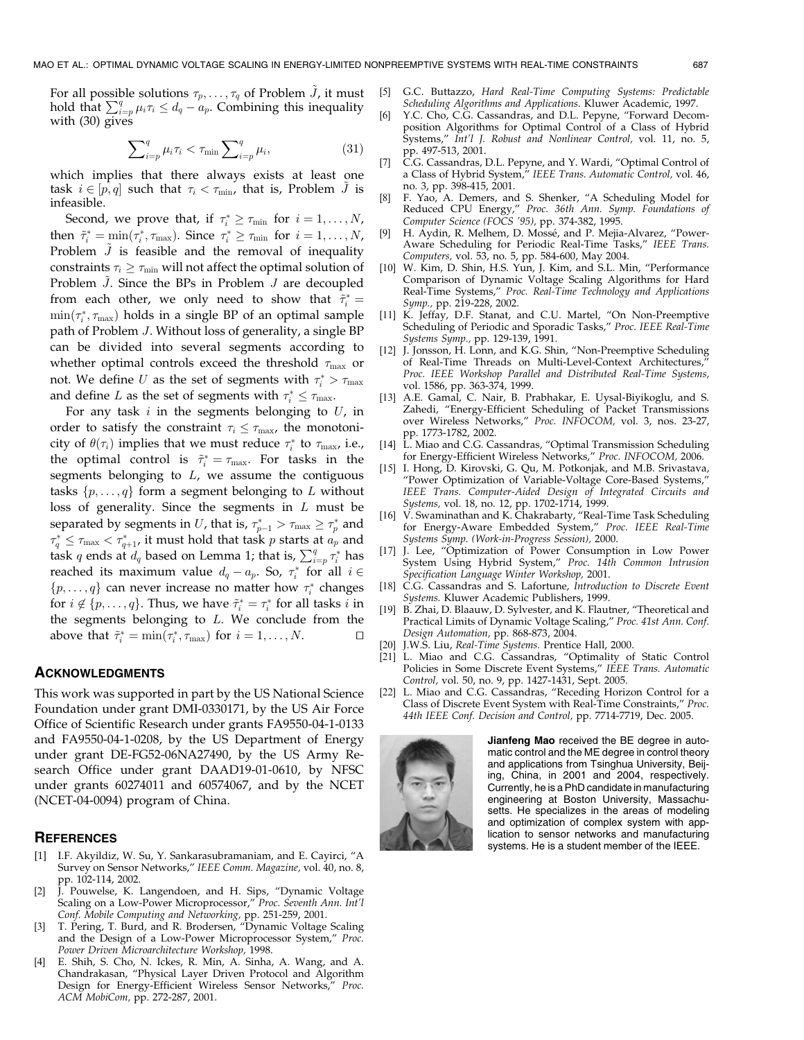For all possible solutions  $\tau_p, \ldots, \tau_q$  of Problem  $\tilde{J}$ , it must hold that  $\sum_{i=p}^{q} \mu_i \tau_i \leq d_q - a_p$ . Combining this inequality with (30) gives

$$
\sum_{i=p}^{q} \mu_i \tau_i < \tau_{\min} \sum_{i=p}^{q} \mu_i,\tag{31}
$$

which implies that there always exists at least one task  $i \in [p, q]$  such that  $\tau_i < \tau_{\min}$ , that is, Problem J is infeasible.

Second, we prove that, if  $\tau_i^* \geq \tau_{\min}$  for  $i = 1, \dots, N$ , then  $\tilde{\tau}_i^* = \min(\tau_i^*, \tau_{\max})$ . Since  $\tau_i^* \ge \tau_{\min}$  for  $i = 1, \ldots, N$ , Problem  $\tilde{J}$  is feasible and the removal of inequality constraints  $\tau_i \geq \tau_{\min}$  will not affect the optimal solution of Problem  $J$ . Since the BPs in Problem  $J$  are decoupled from each other, we only need to show that  $\tilde{\tau}^*_i =$  $\min(\tau_i^*, \tau_{\max})$  holds in a single BP of an optimal sample path of Problem J. Without loss of generality, a single BP can be divided into several segments according to whether optimal controls exceed the threshold  $\tau_{\text{max}}$  or not. We define U as the set of segments with  $\tau_i^* > \tau_{\max}$ and define L as the set of segments with  $\tau_i^* \leq \tau_{\text{max}}$ .

For any task  $i$  in the segments belonging to  $U$ , in order to satisfy the constraint  $\tau_i \leq \tau_{\text{max}}$ , the monotonicity of  $\theta(\tau_i)$  implies that we must reduce  $\tau_i^*$  to  $\tau_{\text{max}}$ , i.e., the optimal control is  $\tilde{\tau}_i^* = \tau_{\text{max}}$ . For tasks in the segments belonging to  $L$ , we assume the contiguous tasks  $\{p, \ldots, q\}$  form a segment belonging to L without loss of generality. Since the segments in  $L$  must be separated by segments in U, that is,  $\tau_{p-1}^* > \tau_{\max} \geq \tau_p^*$  and  $\tau^*_q \leq \tau_{\text{max}} < \tau^*_{q+1}$ , it must hold that task  $p$  starts at  $a_p$  and task q ends at  $d_q$  based on Lemma 1; that is,  $\sum_{i=p}^q \tau_i^*$  has reached its maximum value  $d_q - a_p$ . So,  $\tau_i^*$  for all  $i \in$  $\{p, \ldots, q\}$  can never increase no matter how  $\tau_i^*$  changes for  $i \notin \{p, \ldots, q\}$ . Thus, we have  $\tilde{\tau}_i^* = \tau_i^*$  for all tasks  $i$  in the segments belonging to  $L$ . We conclude from the above that  $\tilde{\tau}_i^* = \min(\tau_i^*, \tau_{\max})$  for  $i = 1, ..., N$ .

#### ACKNOWLEDGMENTS

This work was supported in part by the US National Science Foundation under grant DMI-0330171, by the US Air Force Office of Scientific Research under grants FA9550-04-1-0133 and FA9550-04-1-0208, by the US Department of Energy under grant DE-FG52-06NA27490, by the US Army Research Office under grant DAAD19-01-0610, by NFSC under grants 60274011 and 60574067, and by the NCET (NCET-04-0094) program of China.

#### **REFERENCES**

- [1] I.F. Akyildiz, W. Su, Y. Sankarasubramaniam, and E. Cayirci, "A Survey on Sensor Networks," IEEE Comm. Magazine, vol. 40, no. 8, pp. 102-114, 2002.
- [2] J. Pouwelse, K. Langendoen, and H. Sips, "Dynamic Voltage Scaling on a Low-Power Microprocessor," Proc. Seventh Ann. Int'l Conf. Mobile Computing and Networking, pp. 251-259, 2001.
- [3] T. Pering, T. Burd, and R. Brodersen, "Dynamic Voltage Scaling and the Design of a Low-Power Microprocessor System," Proc. Power Driven Microarchitecture Workshop, 1998.
- [4] E. Shih, S. Cho, N. Ickes, R. Min, A. Sinha, A. Wang, and A. Chandrakasan, "Physical Layer Driven Protocol and Algorithm Design for Energy-Efficient Wireless Sensor Networks," Proc. ACM MobiCom, pp. 272-287, 2001.
- [5] G.C. Buttazzo, Hard Real-Time Computing Systems: Predictable Scheduling Algorithms and Applications. Kluwer Academic, 1997.
- Y.C. Cho, C.G. Cassandras, and D.L. Pepyne, "Forward Decomposition Algorithms for Optimal Control of a Class of Hybrid Systems," Int'l J. Robust and Nonlinear Control, vol. 11, no. 5, pp. 497-513, 2001.
- C.G. Cassandras, D.L. Pepyne, and Y. Wardi, "Optimal Control of a Class of Hybrid System," IEEE Trans. Automatic Control, vol. 46, no. 3, pp. 398-415, 2001.
- [8] F. Yao, A. Demers, and S. Shenker, "A Scheduling Model for Reduced CPU Energy," Proc. 36th Ann. Symp. Foundations of Computer Science (FOCS '95), pp. 374-382, 1995.
- [9] H. Aydin, R. Melhem, D. Mossé, and P. Mejia-Alvarez, "Power-Aware Scheduling for Periodic Real-Time Tasks," IEEE Trans. Computers, vol. 53, no. 5, pp. 584-600, May 2004.
- [10] W. Kim, D. Shin, H.S. Yun, J. Kim, and S.L. Min, "Performance Comparison of Dynamic Voltage Scaling Algorithms for Hard Real-Time Systems," Proc. Real-Time Technology and Applications Symp., pp. 219-228, 2002.
- [11] K. Jeffay, D.F. Stanat, and C.U. Martel, "On Non-Preemptive Scheduling of Periodic and Sporadic Tasks," Proc. IEEE Real-Time Systems Symp., pp. 129-139, 1991.
- [12] J. Jonsson, H. Lonn, and K.G. Shin, "Non-Preemptive Scheduling of Real-Time Threads on Multi-Level-Context Architectures, Proc. IEEE Workshop Parallel and Distributed Real-Time Systems, vol. 1586, pp. 363-374, 1999.
- [13] A.E. Gamal, C. Nair, B. Prabhakar, E. Uysal-Biyikoglu, and S. Zahedi, "Energy-Efficient Scheduling of Packet Transmissions over Wireless Networks," Proc. INFOCOM, vol. 3, nos. 23-27, pp. 1773-1782, 2002.
- [14] L. Miao and C.G. Cassandras, "Optimal Transmission Scheduling for Energy-Efficient Wireless Networks," Proc. INFOCOM, 2006.
- [15] I. Hong, D. Kirovski, G. Qu, M. Potkonjak, and M.B. Srivastava, "Power Optimization of Variable-Voltage Core-Based Systems," IEEE Trans. Computer-Aided Design of Integrated Circuits and Systems, vol. 18, no. 12, pp. 1702-1714, 1999.
- [16] V. Swaminathan and K. Chakrabarty, "Real-Time Task Scheduling for Energy-Aware Embedded System," Proc. IEEE Real-Time Systems Symp. (Work-in-Progress Session), 2000.
- [17] J. Lee, "Optimization of Power Consumption in Low Power System Using Hybrid System," Proc. 14th Common Intrusion Specification Language Winter Workshop, 2001.
- [18] C.G. Cassandras and S. Lafortune, Introduction to Discrete Event Systems. Kluwer Academic Publishers, 1999.
- B. Zhai, D. Blaauw, D. Sylvester, and K. Flautner, "Theoretical and Practical Limits of Dynamic Voltage Scaling," Proc. 41st Ann. Conf. Design Automation, pp. 868-873, 2004.
- [20] J.W.S. Liu, Real-Time Systems. Prentice Hall, 2000.
- [21] L. Miao and C.G. Cassandras, "Optimality of Static Control Policies in Some Discrete Event Systems," IEEE Trans. Automatic Control, vol. 50, no. 9, pp. 1427-1431, Sept. 2005.
- [22] L. Miao and C.G. Cassandras, "Receding Horizon Control for a Class of Discrete Event System with Real-Time Constraints," Proc. 44th IEEE Conf. Decision and Control, pp. 7714-7719, Dec. 2005.



Jianfeng Mao received the BE degree in automatic control and the ME degree in control theory and applications from Tsinghua University, Beijing, China, in 2001 and 2004, respectively. Currently, he is a PhD candidate in manufacturing engineering at Boston University, Massachusetts. He specializes in the areas of modeling and optimization of complex system with application to sensor networks and manufacturing systems. He is a student member of the IEEE.